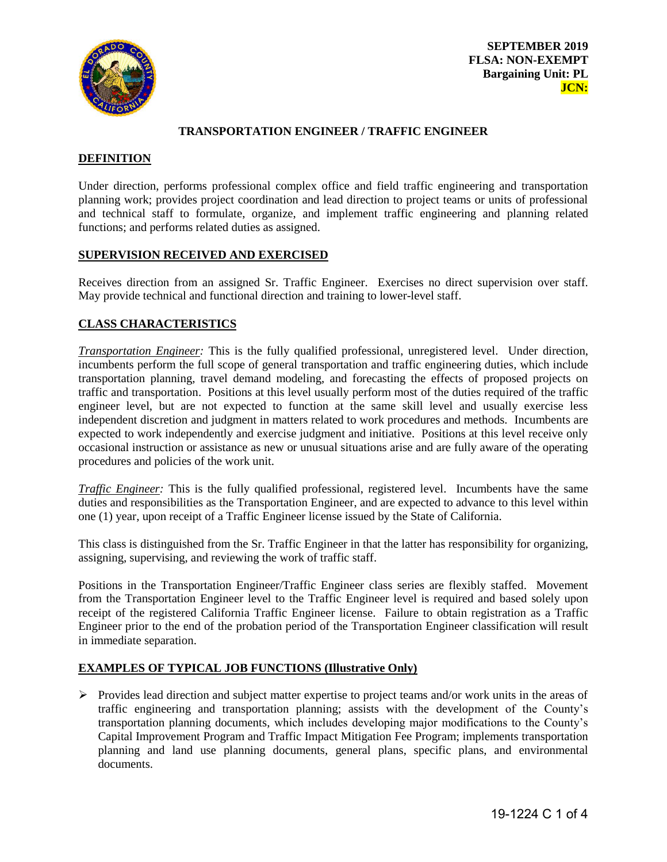

## **TRANSPORTATION ENGINEER / TRAFFIC ENGINEER**

## **DEFINITION**

Under direction, performs professional complex office and field traffic engineering and transportation planning work; provides project coordination and lead direction to project teams or units of professional and technical staff to formulate, organize, and implement traffic engineering and planning related functions; and performs related duties as assigned.

## **SUPERVISION RECEIVED AND EXERCISED**

Receives direction from an assigned Sr. Traffic Engineer. Exercises no direct supervision over staff. May provide technical and functional direction and training to lower-level staff.

# **CLASS CHARACTERISTICS**

*Transportation Engineer:* This is the fully qualified professional, unregistered level. Under direction, incumbents perform the full scope of general transportation and traffic engineering duties, which include transportation planning, travel demand modeling, and forecasting the effects of proposed projects on traffic and transportation. Positions at this level usually perform most of the duties required of the traffic engineer level, but are not expected to function at the same skill level and usually exercise less independent discretion and judgment in matters related to work procedures and methods. Incumbents are expected to work independently and exercise judgment and initiative. Positions at this level receive only occasional instruction or assistance as new or unusual situations arise and are fully aware of the operating procedures and policies of the work unit.

*Traffic Engineer:* This is the fully qualified professional, registered level. Incumbents have the same duties and responsibilities as the Transportation Engineer, and are expected to advance to this level within one (1) year, upon receipt of a Traffic Engineer license issued by the State of California.

This class is distinguished from the Sr. Traffic Engineer in that the latter has responsibility for organizing, assigning, supervising, and reviewing the work of traffic staff.

Positions in the Transportation Engineer/Traffic Engineer class series are flexibly staffed. Movement from the Transportation Engineer level to the Traffic Engineer level is required and based solely upon receipt of the registered California Traffic Engineer license. Failure to obtain registration as a Traffic Engineer prior to the end of the probation period of the Transportation Engineer classification will result in immediate separation.

# **EXAMPLES OF TYPICAL JOB FUNCTIONS (Illustrative Only)**

 $\triangleright$  Provides lead direction and subject matter expertise to project teams and/or work units in the areas of traffic engineering and transportation planning; assists with the development of the County's transportation planning documents, which includes developing major modifications to the County's Capital Improvement Program and Traffic Impact Mitigation Fee Program; implements transportation planning and land use planning documents, general plans, specific plans, and environmental documents.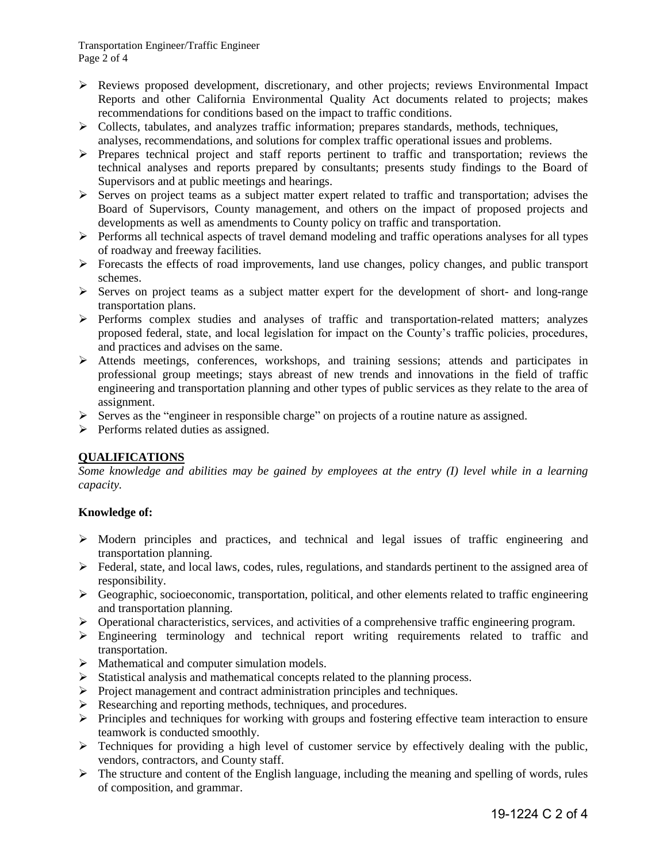Transportation Engineer/Traffic Engineer Page 2 of 4

- $\triangleright$  Reviews proposed development, discretionary, and other projects; reviews Environmental Impact Reports and other California Environmental Quality Act documents related to projects; makes recommendations for conditions based on the impact to traffic conditions.
- $\triangleright$  Collects, tabulates, and analyzes traffic information; prepares standards, methods, techniques, analyses, recommendations, and solutions for complex traffic operational issues and problems.
- $\triangleright$  Prepares technical project and staff reports pertinent to traffic and transportation; reviews the technical analyses and reports prepared by consultants; presents study findings to the Board of Supervisors and at public meetings and hearings.
- $\triangleright$  Serves on project teams as a subject matter expert related to traffic and transportation; advises the Board of Supervisors, County management, and others on the impact of proposed projects and developments as well as amendments to County policy on traffic and transportation.
- $\triangleright$  Performs all technical aspects of travel demand modeling and traffic operations analyses for all types of roadway and freeway facilities.
- $\triangleright$  Forecasts the effects of road improvements, land use changes, policy changes, and public transport schemes.
- $\triangleright$  Serves on project teams as a subject matter expert for the development of short- and long-range transportation plans.
- $\triangleright$  Performs complex studies and analyzes of traffic and transportation-related matters; analyzes proposed federal, state, and local legislation for impact on the County's traffic policies, procedures, and practices and advises on the same.
- Attends meetings, conferences, workshops, and training sessions; attends and participates in professional group meetings; stays abreast of new trends and innovations in the field of traffic engineering and transportation planning and other types of public services as they relate to the area of assignment.
- $\triangleright$  Serves as the "engineer in responsible charge" on projects of a routine nature as assigned.
- $\triangleright$  Performs related duties as assigned.

# **QUALIFICATIONS**

*Some knowledge and abilities may be gained by employees at the entry (I) level while in a learning capacity.* 

## **Knowledge of:**

- $\triangleright$  Modern principles and practices, and technical and legal issues of traffic engineering and transportation planning.
- $\triangleright$  Federal, state, and local laws, codes, rules, regulations, and standards pertinent to the assigned area of responsibility.
- $\triangleright$  Geographic, socioeconomic, transportation, political, and other elements related to traffic engineering and transportation planning.
- $\triangleright$  Operational characteristics, services, and activities of a comprehensive traffic engineering program.
- $\triangleright$  Engineering terminology and technical report writing requirements related to traffic and transportation.
- $\triangleright$  Mathematical and computer simulation models.
- $\triangleright$  Statistical analysis and mathematical concepts related to the planning process.
- $\triangleright$  Project management and contract administration principles and techniques.
- Researching and reporting methods, techniques, and procedures.
- $\triangleright$  Principles and techniques for working with groups and fostering effective team interaction to ensure teamwork is conducted smoothly.
- $\triangleright$  Techniques for providing a high level of customer service by effectively dealing with the public, vendors, contractors, and County staff.
- $\triangleright$  The structure and content of the English language, including the meaning and spelling of words, rules of composition, and grammar.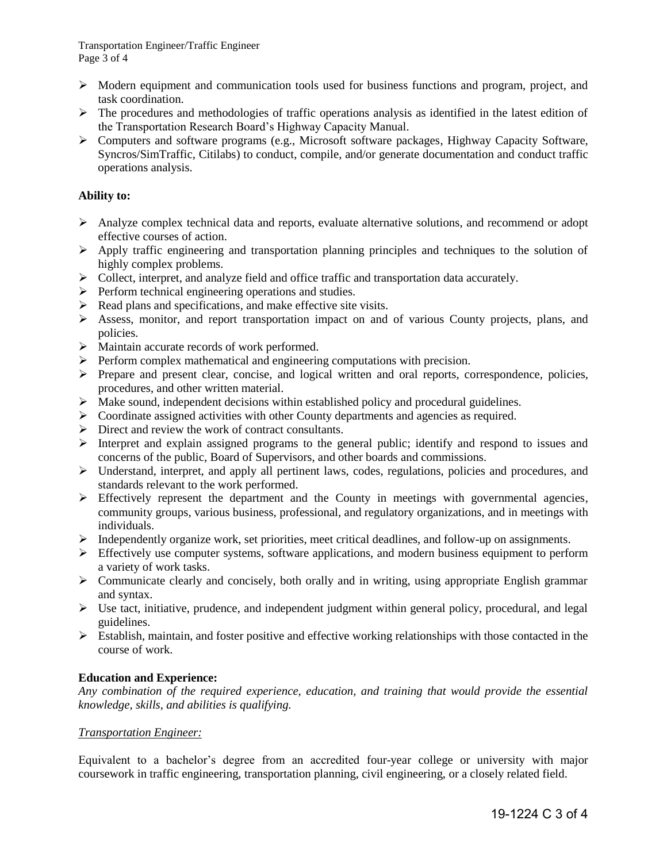- $\triangleright$  Modern equipment and communication tools used for business functions and program, project, and task coordination.
- $\triangleright$  The procedures and methodologies of traffic operations analysis as identified in the latest edition of the Transportation Research Board's Highway Capacity Manual.
- Computers and software programs (e.g., Microsoft software packages, Highway Capacity Software, Syncros/SimTraffic, Citilabs) to conduct, compile, and/or generate documentation and conduct traffic operations analysis.

## **Ability to:**

- $\triangleright$  Analyze complex technical data and reports, evaluate alternative solutions, and recommend or adopt effective courses of action.
- Apply traffic engineering and transportation planning principles and techniques to the solution of highly complex problems.
- $\triangleright$  Collect, interpret, and analyze field and office traffic and transportation data accurately.
- $\triangleright$  Perform technical engineering operations and studies.
- $\triangleright$  Read plans and specifications, and make effective site visits.
- $\triangleright$  Assess, monitor, and report transportation impact on and of various County projects, plans, and policies.
- $\triangleright$  Maintain accurate records of work performed.
- $\triangleright$  Perform complex mathematical and engineering computations with precision.
- $\triangleright$  Prepare and present clear, concise, and logical written and oral reports, correspondence, policies, procedures, and other written material.
- $\triangleright$  Make sound, independent decisions within established policy and procedural guidelines.
- $\triangleright$  Coordinate assigned activities with other County departments and agencies as required.
- $\triangleright$  Direct and review the work of contract consultants.
- Interpret and explain assigned programs to the general public; identify and respond to issues and concerns of the public, Board of Supervisors, and other boards and commissions.
- Understand, interpret, and apply all pertinent laws, codes, regulations, policies and procedures, and standards relevant to the work performed.
- $\triangleright$  Effectively represent the department and the County in meetings with governmental agencies, community groups, various business, professional, and regulatory organizations, and in meetings with individuals.
- $\triangleright$  Independently organize work, set priorities, meet critical deadlines, and follow-up on assignments.
- $\triangleright$  Effectively use computer systems, software applications, and modern business equipment to perform a variety of work tasks.
- Communicate clearly and concisely, both orally and in writing, using appropriate English grammar and syntax.
- $\triangleright$  Use tact, initiative, prudence, and independent judgment within general policy, procedural, and legal guidelines.
- $\triangleright$  Establish, maintain, and foster positive and effective working relationships with those contacted in the course of work.

## **Education and Experience:**

*Any combination of the required experience, education, and training that would provide the essential knowledge, skills, and abilities is qualifying.*

## *Transportation Engineer:*

Equivalent to a bachelor's degree from an accredited four-year college or university with major coursework in traffic engineering, transportation planning, civil engineering, or a closely related field.